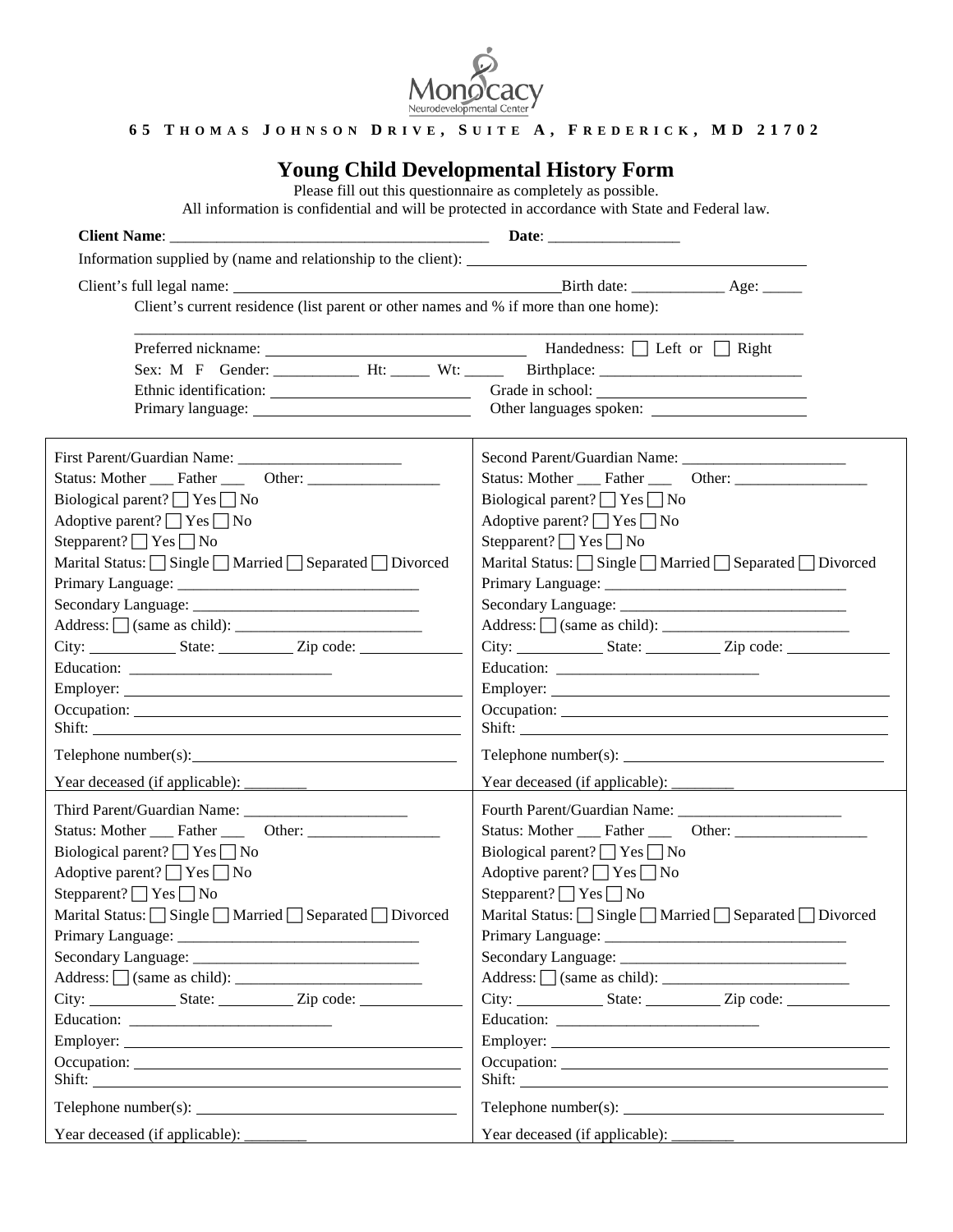

### **6 5 T H O M A S J O H N S O N D R I V E , S U I T E A , F R E D E R I C K , M D 2 1 7 0 2**

# **Young Child Developmental History Form**

Please fill out this questionnaire as completely as possible.

All information is confidential and will be protected in accordance with State and Federal law.

| Information supplied by (name and relationship to the client): __________________    |                                                                                  |
|--------------------------------------------------------------------------------------|----------------------------------------------------------------------------------|
|                                                                                      |                                                                                  |
| Client's current residence (list parent or other names and % if more than one home): |                                                                                  |
|                                                                                      |                                                                                  |
|                                                                                      | Handedness: $\Box$ Left or $\Box$ Right                                          |
|                                                                                      |                                                                                  |
|                                                                                      |                                                                                  |
|                                                                                      |                                                                                  |
|                                                                                      |                                                                                  |
|                                                                                      |                                                                                  |
| Biological parent? $\Box$ Yes $\Box$ No                                              | Biological parent? $\Box$ Yes $\Box$ No                                          |
| Adoptive parent? $\Box$ Yes $\Box$ No                                                | Adoptive parent? $\Box$ Yes $\Box$ No                                            |
| Stepparent? $\Box$ Yes $\Box$ No                                                     | Stepparent? $\Box$ Yes $\Box$ No                                                 |
| Marital Status: Single Married Separated Divorced                                    | Marital Status: Single Married Separated Divorced                                |
|                                                                                      |                                                                                  |
|                                                                                      |                                                                                  |
|                                                                                      | $Address:$ $\Box$ (same as child): $\Box$                                        |
| City: State: Zip code:                                                               | City: State: Zip code:                                                           |
|                                                                                      |                                                                                  |
|                                                                                      |                                                                                  |
|                                                                                      |                                                                                  |
| Shift:                                                                               | Shift:                                                                           |
| $\text{Telephone number}(s):$                                                        |                                                                                  |
|                                                                                      |                                                                                  |
|                                                                                      |                                                                                  |
| Status: Mother Father Cher: Cher:                                                    | Status: Mother Father Other:                                                     |
| Biological parent? $\Box$ Yes $\Box$ No                                              | Biological parent? $\Box$ Yes $\Box$ No                                          |
| Adoptive parent? $\Box$ Yes $\Box$ No                                                | Adoptive parent? $\Box$ Yes $\Box$ No                                            |
| Stepparent? $\Box$ Yes $\Box$ No                                                     | Stepparent? $\Box$ Yes $\Box$ No                                                 |
| Marital Status: Single Married Separated Divorced                                    | Marital Status: Single Married Separated Divorced                                |
|                                                                                      |                                                                                  |
|                                                                                      |                                                                                  |
|                                                                                      |                                                                                  |
|                                                                                      | City: ___________________State: _______________Zip code: _______________________ |
|                                                                                      |                                                                                  |
|                                                                                      |                                                                                  |
|                                                                                      | Occupation:                                                                      |
|                                                                                      |                                                                                  |
|                                                                                      | $\text{Telephone number}(s):$                                                    |
|                                                                                      |                                                                                  |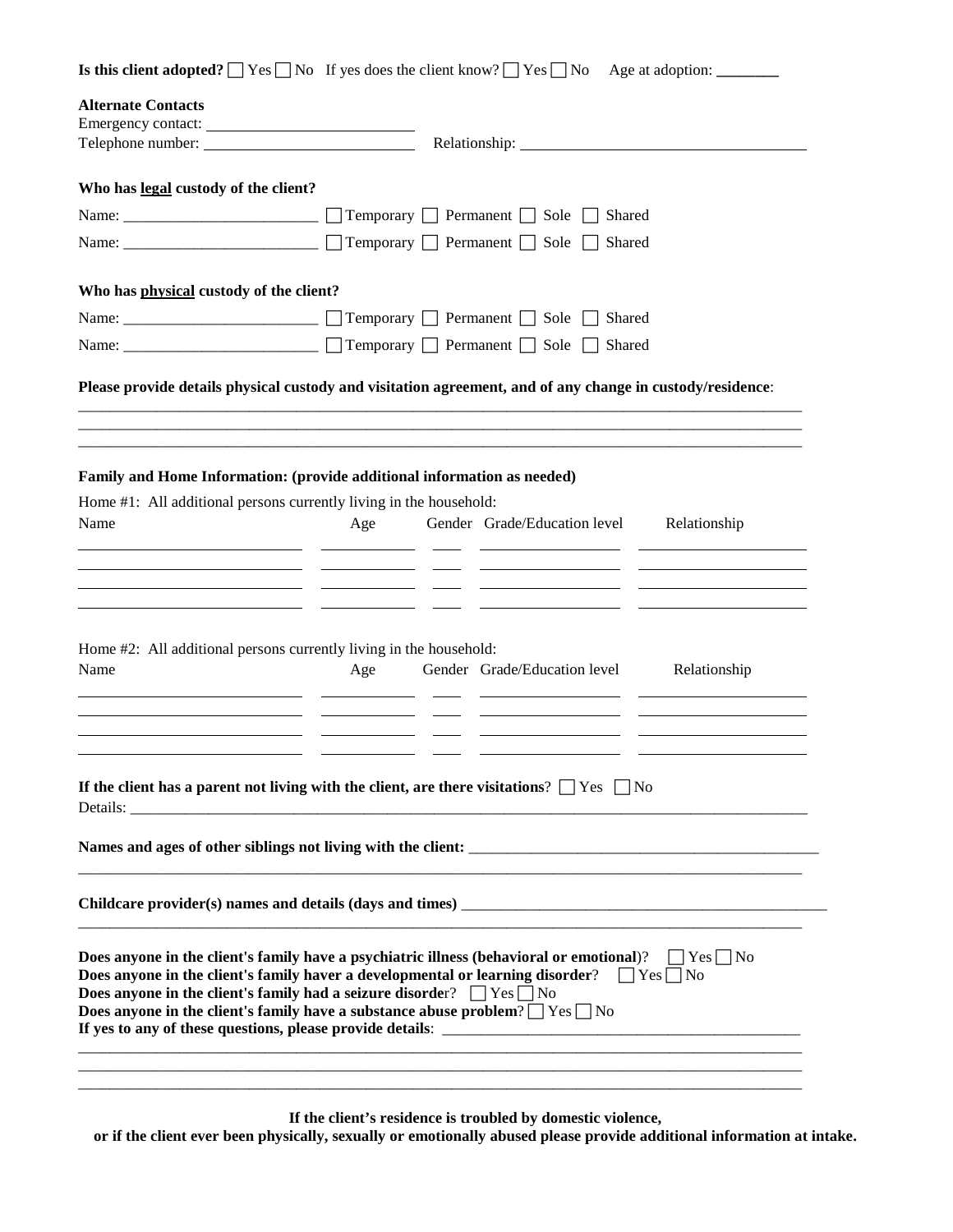|                                                                                                                                                                                                                      |     | <b>Is this client adopted?</b> $\Box$ Yes $\Box$ No If yes does the client know? $\Box$ Yes $\Box$ No Age at adoption: $\Box$ |              |
|----------------------------------------------------------------------------------------------------------------------------------------------------------------------------------------------------------------------|-----|-------------------------------------------------------------------------------------------------------------------------------|--------------|
| <b>Alternate Contacts</b>                                                                                                                                                                                            |     |                                                                                                                               |              |
|                                                                                                                                                                                                                      |     |                                                                                                                               |              |
| Telephone number:                                                                                                                                                                                                    |     |                                                                                                                               |              |
| Who has legal custody of the client?                                                                                                                                                                                 |     |                                                                                                                               |              |
|                                                                                                                                                                                                                      |     | Shared                                                                                                                        |              |
|                                                                                                                                                                                                                      |     | Temporary □ Permanent □ Sole □<br>Shared                                                                                      |              |
| Who has physical custody of the client?                                                                                                                                                                              |     |                                                                                                                               |              |
|                                                                                                                                                                                                                      |     | Shared                                                                                                                        |              |
| Name: ______________________ □ Temporary □ Permanent □ Sole □                                                                                                                                                        |     | Shared                                                                                                                        |              |
|                                                                                                                                                                                                                      |     |                                                                                                                               |              |
| Please provide details physical custody and visitation agreement, and of any change in custody/residence:                                                                                                            |     |                                                                                                                               |              |
|                                                                                                                                                                                                                      |     |                                                                                                                               |              |
|                                                                                                                                                                                                                      |     |                                                                                                                               |              |
| Family and Home Information: (provide additional information as needed)                                                                                                                                              |     |                                                                                                                               |              |
| Home #1: All additional persons currently living in the household:                                                                                                                                                   |     |                                                                                                                               |              |
| Name                                                                                                                                                                                                                 | Age | Gender Grade/Education level                                                                                                  | Relationship |
|                                                                                                                                                                                                                      |     |                                                                                                                               |              |
| the control of the control of the control of the control of the control of the control of                                                                                                                            |     |                                                                                                                               |              |
|                                                                                                                                                                                                                      |     |                                                                                                                               |              |
|                                                                                                                                                                                                                      |     |                                                                                                                               |              |
| Home #2: All additional persons currently living in the household:                                                                                                                                                   |     |                                                                                                                               |              |
| Name                                                                                                                                                                                                                 | Age | Gender Grade/Education level                                                                                                  | Relationship |
|                                                                                                                                                                                                                      |     |                                                                                                                               |              |
|                                                                                                                                                                                                                      |     |                                                                                                                               |              |
|                                                                                                                                                                                                                      |     |                                                                                                                               |              |
|                                                                                                                                                                                                                      |     |                                                                                                                               |              |
|                                                                                                                                                                                                                      |     |                                                                                                                               |              |
|                                                                                                                                                                                                                      |     |                                                                                                                               |              |
|                                                                                                                                                                                                                      |     |                                                                                                                               |              |
|                                                                                                                                                                                                                      |     |                                                                                                                               |              |
|                                                                                                                                                                                                                      |     |                                                                                                                               |              |
| If the client has a parent not living with the client, are there visitations? $\Box$ Yes $\Box$ No                                                                                                                   |     |                                                                                                                               |              |
|                                                                                                                                                                                                                      |     |                                                                                                                               |              |
|                                                                                                                                                                                                                      |     |                                                                                                                               |              |
| Does anyone in the client's family have a psychiatric illness (behavioral or emotional)? $\Box$ Yes $\Box$ No<br>Does anyone in the client's family haver a developmental or learning disorder? $\Box$ Yes $\Box$ No |     |                                                                                                                               |              |
| Does anyone in the client's family had a seizure disorder? $\Box$ Yes $\Box$ No                                                                                                                                      |     |                                                                                                                               |              |
| Does anyone in the client's family have a substance abuse problem? $\Box$ Yes $\Box$ No                                                                                                                              |     |                                                                                                                               |              |

**If the client's residence is troubled by domestic violence, or if the client ever been physically, sexually or emotionally abused please provide additional information at intake.**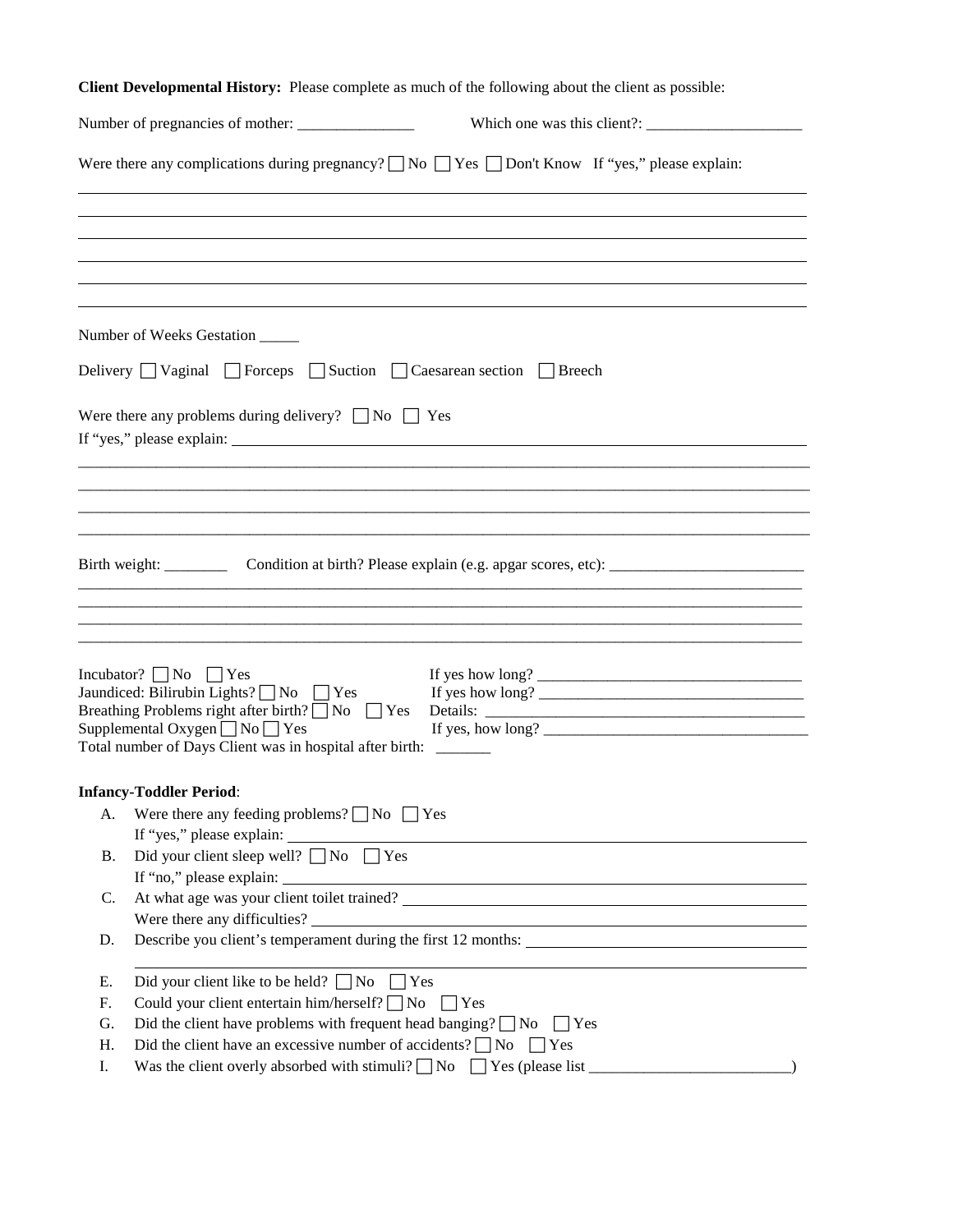|    | Client Developmental History: Please complete as much of the following about the client as possible:                                                                                                                                                                              |
|----|-----------------------------------------------------------------------------------------------------------------------------------------------------------------------------------------------------------------------------------------------------------------------------------|
|    |                                                                                                                                                                                                                                                                                   |
|    | Were there any complications during pregnancy? $\Box$ No $\Box$ Yes $\Box$ Don't Know If "yes," please explain:                                                                                                                                                                   |
|    |                                                                                                                                                                                                                                                                                   |
|    |                                                                                                                                                                                                                                                                                   |
|    | Number of Weeks Gestation                                                                                                                                                                                                                                                         |
|    | Delivery Vaginal Forceps Suction Caesarean section Breech                                                                                                                                                                                                                         |
|    | Were there any problems during delivery? $\Box$ No $\Box$ Yes                                                                                                                                                                                                                     |
|    |                                                                                                                                                                                                                                                                                   |
|    |                                                                                                                                                                                                                                                                                   |
|    | Condition at birth? Please explain (e.g. apgar scores, etc): ____________________                                                                                                                                                                                                 |
|    |                                                                                                                                                                                                                                                                                   |
|    |                                                                                                                                                                                                                                                                                   |
|    | Incubator? $\Box$ No $\Box$ Yes<br>If yes how $\log$ ?<br>Jaundiced: Bilirubin Lights? $\Box$ No $\Box$ Yes<br>Breathing Problems right after birth? $\neg$ No $\neg$ Yes<br>Supplemental Oxygen $\neg$ No $\neg$ Yes<br>Total number of Days Client was in hospital after birth: |
|    | <b>Infancy-Toddler Period:</b>                                                                                                                                                                                                                                                    |
| A. | Were there any feeding problems? $\Box$ No $\Box$ Yes                                                                                                                                                                                                                             |
| Β. | Did your client sleep well? $\Box$<br>No $\Box$<br>Yes                                                                                                                                                                                                                            |
| C. |                                                                                                                                                                                                                                                                                   |
| D. | Describe you client's temperament during the first 12 months:                                                                                                                                                                                                                     |
| Е. | Did your client like to be held? $\Box$ No $\Box$ Yes                                                                                                                                                                                                                             |
| F. | Could your client entertain him/herself? $\Box$ No $\Box$ Yes                                                                                                                                                                                                                     |
| G. | Did the client have problems with frequent head banging? $\Box$ No $\Box$ Yes                                                                                                                                                                                                     |
| Η. | Did the client have an excessive number of accidents? $\Box$ No $\Box$ Yes                                                                                                                                                                                                        |
| Ι. |                                                                                                                                                                                                                                                                                   |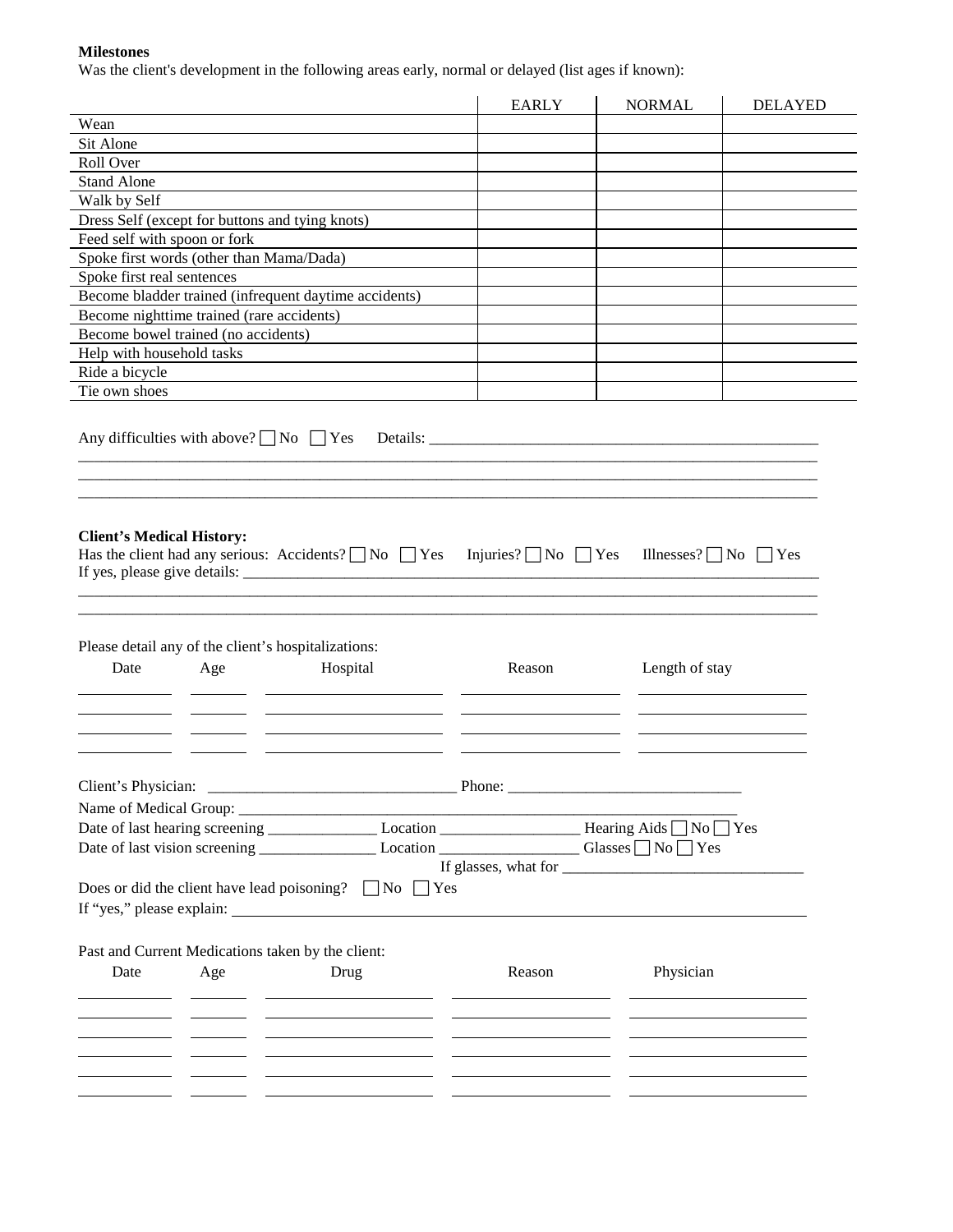#### **Milestones**

Was the client's development in the following areas early, normal or delayed (list ages if known):

|                              |                                                     |                                                                                                                                | <b>EARLY</b> | <b>NORMAL</b>  | <b>DELAYED</b> |
|------------------------------|-----------------------------------------------------|--------------------------------------------------------------------------------------------------------------------------------|--------------|----------------|----------------|
| Wean                         |                                                     |                                                                                                                                |              |                |                |
| Sit Alone                    |                                                     |                                                                                                                                |              |                |                |
| Roll Over                    |                                                     |                                                                                                                                |              |                |                |
| <b>Stand Alone</b>           |                                                     |                                                                                                                                |              |                |                |
| Walk by Self                 |                                                     |                                                                                                                                |              |                |                |
|                              | Dress Self (except for buttons and tying knots)     |                                                                                                                                |              |                |                |
| Feed self with spoon or fork |                                                     |                                                                                                                                |              |                |                |
|                              | Spoke first words (other than Mama/Dada)            |                                                                                                                                |              |                |                |
| Spoke first real sentences   |                                                     |                                                                                                                                |              |                |                |
|                              |                                                     | Become bladder trained (infrequent daytime accidents)                                                                          |              |                |                |
|                              | Become nighttime trained (rare accidents)           |                                                                                                                                |              |                |                |
|                              | Become bowel trained (no accidents)                 |                                                                                                                                |              |                |                |
| Help with household tasks    |                                                     |                                                                                                                                |              |                |                |
| Ride a bicycle               |                                                     |                                                                                                                                |              |                |                |
| Tie own shoes                |                                                     |                                                                                                                                |              |                |                |
|                              | Please detail any of the client's hospitalizations: | Has the client had any serious: Accidents? $\Box$ No $\Box$ Yes Injuries? $\Box$ No $\Box$ Yes Illnesses? $\Box$ No $\Box$ Yes |              |                |                |
| Date                         | Age                                                 | Hospital                                                                                                                       | Reason       |                |                |
|                              |                                                     |                                                                                                                                |              | Length of stay |                |
|                              |                                                     |                                                                                                                                |              |                |                |
|                              |                                                     |                                                                                                                                |              |                |                |
|                              |                                                     |                                                                                                                                |              |                |                |
|                              |                                                     |                                                                                                                                |              |                |                |
|                              |                                                     | Date of last hearing screening _____________________Location _______________________Hearing Aids No Yes                        |              |                |                |
|                              |                                                     |                                                                                                                                |              |                |                |
|                              |                                                     |                                                                                                                                |              |                |                |
|                              |                                                     |                                                                                                                                |              |                |                |
|                              |                                                     | Does or did the client have lead poisoning? $\Box$ No $\Box$ Yes                                                               |              |                |                |
|                              |                                                     |                                                                                                                                |              |                |                |
|                              |                                                     |                                                                                                                                |              |                |                |
|                              |                                                     | Past and Current Medications taken by the client:                                                                              |              |                |                |
| Date                         | Age                                                 | Drug                                                                                                                           | Reason       | Physician      |                |
|                              |                                                     |                                                                                                                                |              |                |                |
|                              |                                                     | <u> 1989 - Johann Barbara, martin a</u>                                                                                        |              |                |                |
|                              |                                                     |                                                                                                                                |              |                |                |
|                              |                                                     |                                                                                                                                |              |                |                |
|                              |                                                     |                                                                                                                                |              |                |                |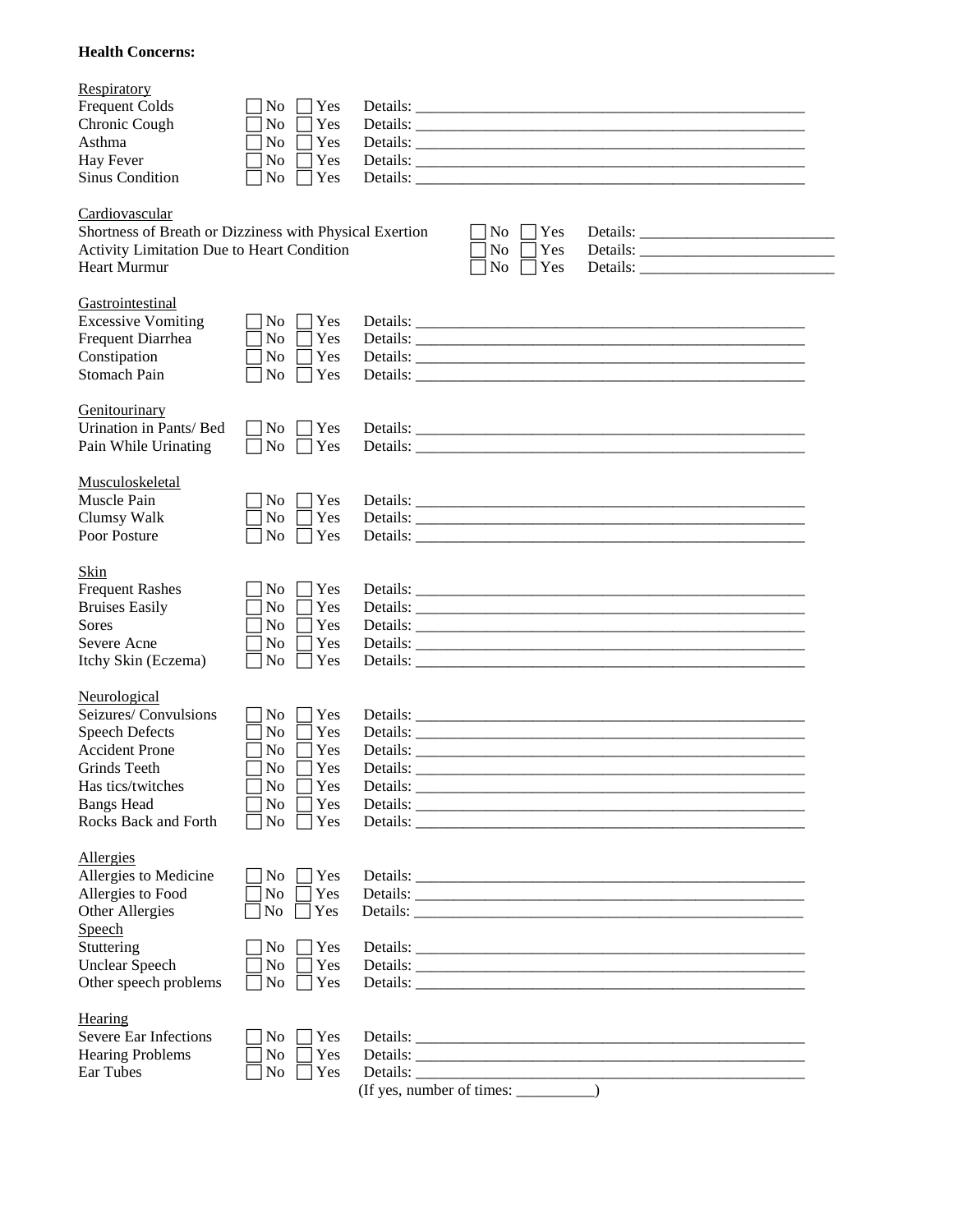#### **Health Concerns:**

| Respiratory<br><b>Frequent Colds</b><br>Chronic Cough<br>Asthma<br>Hay Fever<br>Sinus Condition                                                                          | N <sub>o</sub><br>Yes<br>Yes<br>N <sub>0</sub><br>Yes<br>No<br>Yes<br>No<br>No<br>Yes                                        |          |                                                  |                                                                               |  |
|--------------------------------------------------------------------------------------------------------------------------------------------------------------------------|------------------------------------------------------------------------------------------------------------------------------|----------|--------------------------------------------------|-------------------------------------------------------------------------------|--|
| Cardiovascular<br>Shortness of Breath or Dizziness with Physical Exertion<br>Activity Limitation Due to Heart Condition<br><b>Heart Murmur</b>                           |                                                                                                                              |          | Yes<br>No.<br>No<br>Yes<br>Yes<br>N <sub>0</sub> |                                                                               |  |
| Gastrointestinal<br><b>Excessive Vomiting</b><br>Frequent Diarrhea<br>Constipation<br><b>Stomach Pain</b>                                                                | Yes<br>No.<br>Yes<br>N <sub>o</sub><br>Yes<br>N <sub>0</sub><br>Yes<br>N <sub>0</sub>                                        |          |                                                  |                                                                               |  |
| Genitourinary<br>Urination in Pants/ Bed<br>Pain While Urinating                                                                                                         | $\bigcap$ Yes<br>N <sub>0</sub><br>$\overline{\text{No}}$<br>$\Box$ Yes                                                      |          |                                                  |                                                                               |  |
| Musculoskeletal<br>Muscle Pain<br>Clumsy Walk<br>Poor Posture                                                                                                            | Yes<br>N <sub>0</sub><br>Yes<br>No<br>Yes<br>N <sub>o</sub>                                                                  |          |                                                  |                                                                               |  |
| Skin<br><b>Frequent Rashes</b><br><b>Bruises Easily</b><br><b>Sores</b><br>Severe Acne<br>Itchy Skin (Eczema)                                                            | Yes<br>N <sub>0</sub><br>Yes<br>N <sub>0</sub><br>Yes<br>N <sub>o</sub><br>N <sub>o</sub><br>Yes<br>No<br>$\exists$ Yes      |          |                                                  |                                                                               |  |
| Neurological<br>Seizures/Convulsions<br><b>Speech Defects</b><br><b>Accident Prone</b><br>Grinds Teeth<br>Has tics/twitches<br><b>Bangs Head</b><br>Rocks Back and Forth | Yes<br>No.<br>No<br>Yes<br>Yes<br>N <sub>0</sub><br>Yes<br>N <sub>0</sub><br>No<br>Yes<br>No<br>Yes<br>Yes<br>N <sub>0</sub> | Details: |                                                  |                                                                               |  |
| Allergies<br>Allergies to Medicine<br>Allergies to Food<br>Other Allergies<br>Speech<br>Stuttering<br><b>Unclear Speech</b><br>Other speech problems                     | Yes<br>No<br>No<br>Yes<br>No<br>Yes<br>Yes<br>No<br>No<br>Yes<br>No<br>Yes                                                   |          |                                                  |                                                                               |  |
| Hearing<br>Severe Ear Infections<br><b>Hearing Problems</b><br>Ear Tubes                                                                                                 | Yes<br>N <sub>0</sub><br>Yes<br>No<br>No<br>Yes                                                                              |          |                                                  | Details: $\frac{1}{\sqrt{1-\frac{1}{2}}\left(\frac{1}{2}-\frac{1}{2}\right)}$ |  |

| (If yes, number of times: |  |
|---------------------------|--|
|---------------------------|--|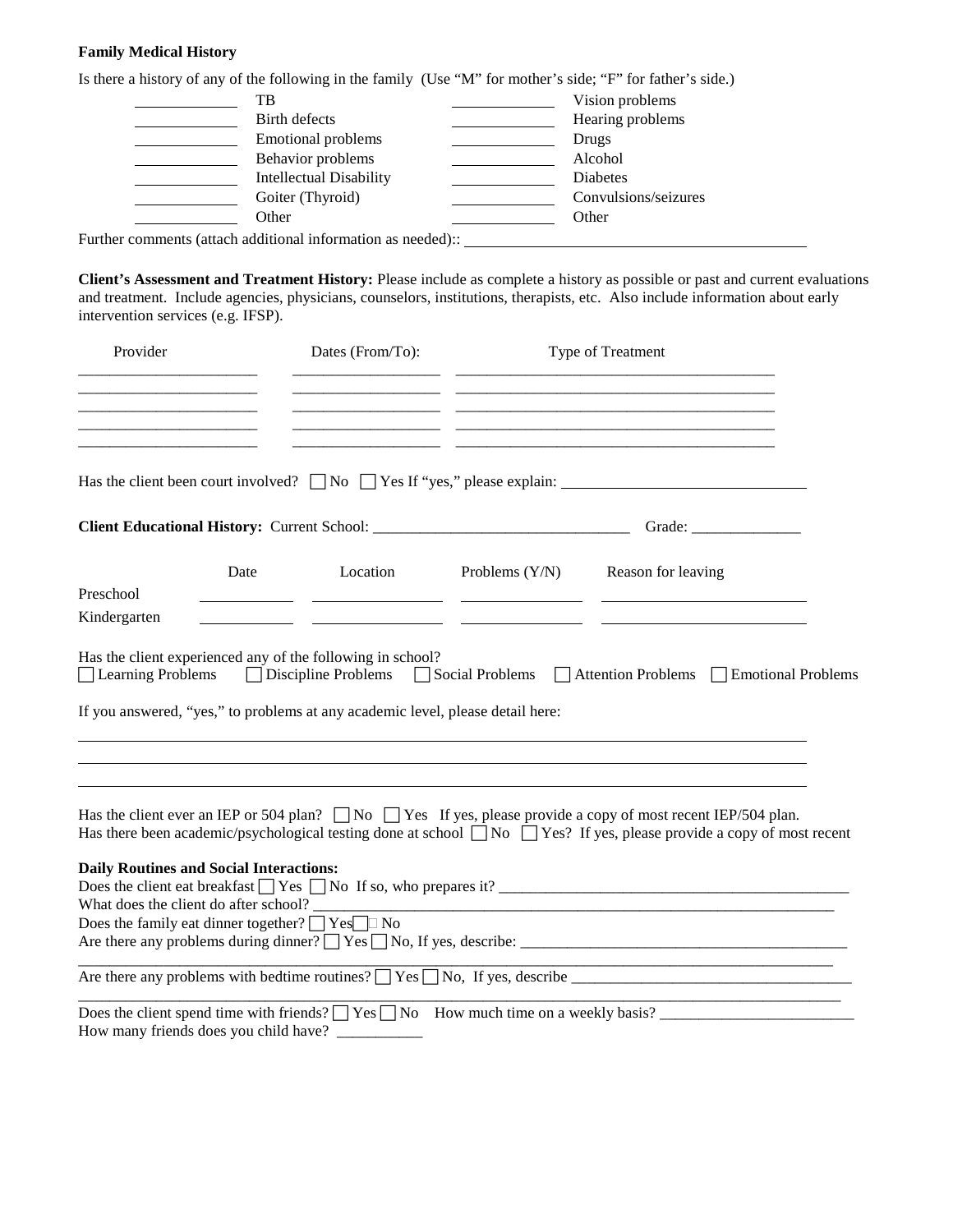#### **Family Medical History**

| Is there a history of any of the following in the family (Use "M" for mother's side; "F" for father's side.) |                      |
|--------------------------------------------------------------------------------------------------------------|----------------------|
| TВ                                                                                                           | Vision problems      |
| Birth defects                                                                                                | Hearing problems     |
| Emotional problems                                                                                           | Drugs                |
| Behavior problems                                                                                            | Alcohol              |
| <b>Intellectual Disability</b>                                                                               | <b>Diabetes</b>      |
| Goiter (Thyroid)                                                                                             | Convulsions/seizures |
| Other                                                                                                        | Other                |
| $Further\, common to (attack\, additional\ information\, as\, model).$                                       |                      |

Further comments (attach additional information as needed):: \_

**Client's Assessment and Treatment History:** Please include as complete a history as possible or past and current evaluations and treatment. Include agencies, physicians, counselors, institutions, therapists, etc. Also include information about early intervention services (e.g. IFSP).

| Provider                                                        |      | Dates (From/To):                                                               |                                                                                                                       | Type of Treatment                                                                                                                                                                                                                                          |  |
|-----------------------------------------------------------------|------|--------------------------------------------------------------------------------|-----------------------------------------------------------------------------------------------------------------------|------------------------------------------------------------------------------------------------------------------------------------------------------------------------------------------------------------------------------------------------------------|--|
| the contract of the contract of the contract of the contract of |      |                                                                                |                                                                                                                       | <u> 1980 - Johann Barbara, martxa alemaniar argumento este alemaniar alemaniar alemaniar alemaniar alemaniar al</u>                                                                                                                                        |  |
|                                                                 |      |                                                                                |                                                                                                                       | Has the client been court involved? $\Box$ No $\Box$ Yes If "yes," please explain: $\Box$                                                                                                                                                                  |  |
|                                                                 |      |                                                                                |                                                                                                                       | Grade: $\sqrt{\frac{2}{1-\frac{1}{2}} \cdot \frac{1}{2-\frac{1}{2}} \cdot \frac{1}{2-\frac{1}{2}} \cdot \frac{1}{2-\frac{1}{2}}}$                                                                                                                          |  |
|                                                                 | Date | Location                                                                       |                                                                                                                       | Problems $(Y/N)$ Reason for leaving                                                                                                                                                                                                                        |  |
| Preschool<br>Kindergarten                                       |      |                                                                                |                                                                                                                       |                                                                                                                                                                                                                                                            |  |
|                                                                 |      |                                                                                |                                                                                                                       |                                                                                                                                                                                                                                                            |  |
| Learning Problems                                               |      | Has the client experienced any of the following in school?                     |                                                                                                                       | □ Discipline Problems □ Social Problems □ Attention Problems □ Emotional Problems                                                                                                                                                                          |  |
|                                                                 |      | If you answered, "yes," to problems at any academic level, please detail here: |                                                                                                                       |                                                                                                                                                                                                                                                            |  |
|                                                                 |      |                                                                                |                                                                                                                       | Has the client ever an IEP or 504 plan? $\Box$ No $\Box$ Yes If yes, please provide a copy of most recent IEP/504 plan.<br>Has there been academic/psychological testing done at school $\Box$ No $\Box$ Yes? If yes, please provide a copy of most recent |  |
| <b>Daily Routines and Social Interactions:</b>                  |      |                                                                                |                                                                                                                       | Does the client eat breakfast $\Box$ Yes $\Box$ No If so, who prepares it?                                                                                                                                                                                 |  |
| Does the family eat dinner together? $\Box$ Yes $\Box$ No       |      |                                                                                |                                                                                                                       |                                                                                                                                                                                                                                                            |  |
|                                                                 |      |                                                                                |                                                                                                                       |                                                                                                                                                                                                                                                            |  |
| How many friends does you child have?                           |      |                                                                                | <u> 1980 - Andrea Station Andrea Station and American Station and American Station and American Station and Ameri</u> | Does the client spend time with friends? $\Box$ Yes $\Box$ No How much time on a weekly basis?                                                                                                                                                             |  |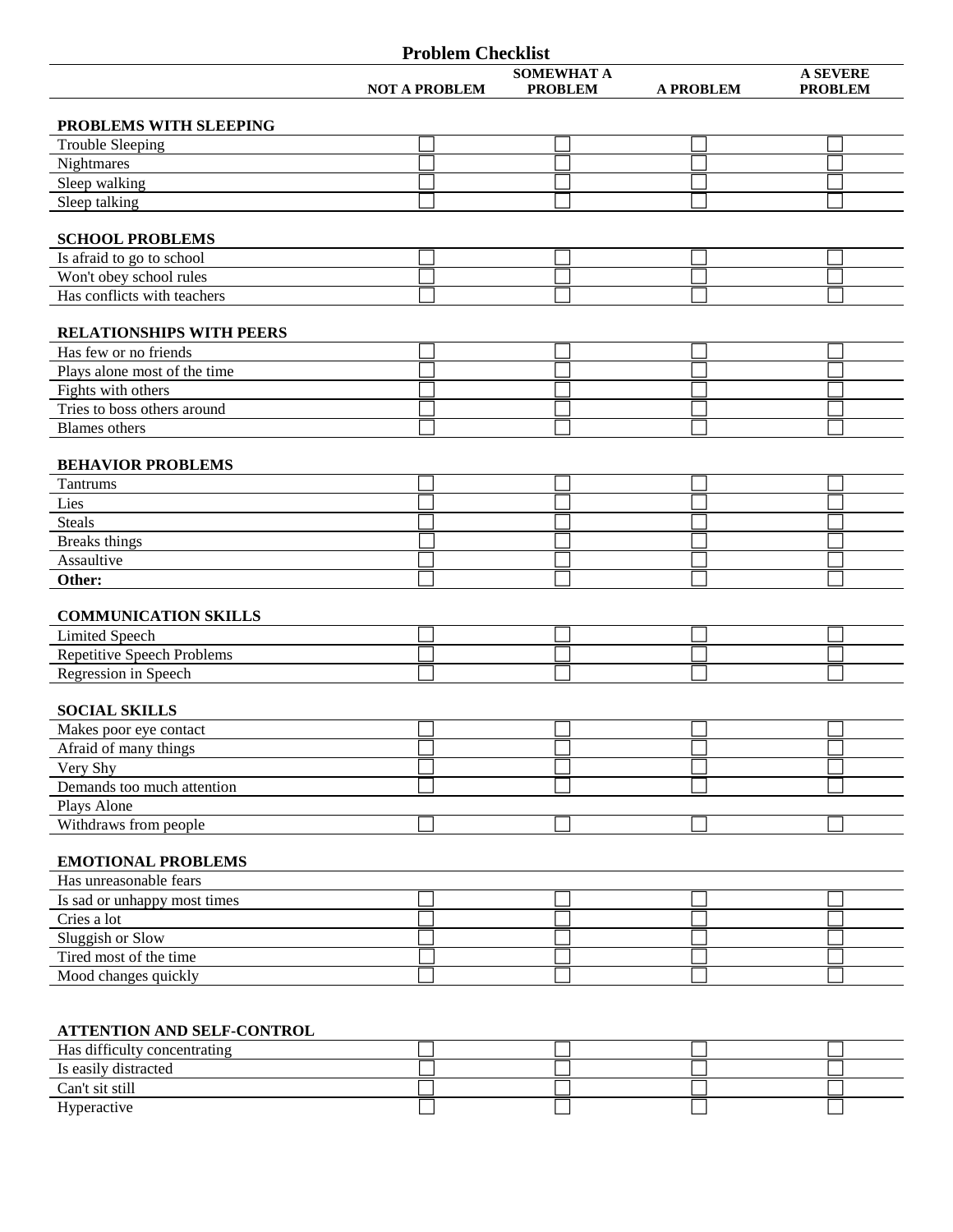|                                                   | <b>Problem Checklist</b> |                   |                  |                 |
|---------------------------------------------------|--------------------------|-------------------|------------------|-----------------|
|                                                   |                          | <b>SOMEWHAT A</b> |                  | <b>A SEVERE</b> |
|                                                   | <b>NOT A PROBLEM</b>     | <b>PROBLEM</b>    | <b>A PROBLEM</b> | <b>PROBLEM</b>  |
|                                                   |                          |                   |                  |                 |
| PROBLEMS WITH SLEEPING<br><b>Trouble Sleeping</b> |                          |                   |                  |                 |
| Nightmares                                        |                          |                   |                  |                 |
| Sleep walking                                     |                          |                   |                  |                 |
| Sleep talking                                     |                          |                   |                  |                 |
|                                                   |                          |                   |                  |                 |
| <b>SCHOOL PROBLEMS</b>                            |                          |                   |                  |                 |
| Is afraid to go to school                         |                          |                   |                  |                 |
| Won't obey school rules                           |                          |                   |                  |                 |
| Has conflicts with teachers                       |                          |                   |                  |                 |
|                                                   |                          |                   |                  |                 |
| <b>RELATIONSHIPS WITH PEERS</b>                   |                          |                   |                  |                 |
| Has few or no friends                             |                          |                   |                  |                 |
| Plays alone most of the time                      |                          |                   |                  |                 |
| Fights with others                                |                          |                   |                  |                 |
| Tries to boss others around                       |                          |                   |                  |                 |
| <b>Blames</b> others                              |                          |                   |                  |                 |
|                                                   |                          |                   |                  |                 |
| <b>BEHAVIOR PROBLEMS</b>                          |                          |                   |                  |                 |
| Tantrums                                          |                          |                   |                  |                 |
| Lies                                              |                          |                   |                  |                 |
| <b>Steals</b>                                     |                          |                   |                  |                 |
| <b>Breaks</b> things                              |                          |                   |                  |                 |
| Assaultive                                        |                          |                   |                  |                 |
| Other:                                            |                          |                   |                  |                 |
| <b>COMMUNICATION SKILLS</b>                       |                          |                   |                  |                 |
| <b>Limited Speech</b>                             |                          |                   |                  |                 |
| <b>Repetitive Speech Problems</b>                 |                          |                   |                  |                 |
| Regression in Speech                              |                          |                   |                  |                 |
|                                                   |                          |                   |                  |                 |
| <b>SOCIAL SKILLS</b>                              |                          |                   |                  |                 |
| Makes poor eye contact                            |                          |                   |                  |                 |
| Afraid of many things                             |                          |                   |                  |                 |
| Very Shy                                          |                          |                   |                  |                 |
| Demands too much attention                        |                          |                   |                  |                 |
| Plays Alone                                       |                          |                   |                  |                 |
| Withdraws from people                             |                          |                   |                  |                 |
|                                                   |                          |                   |                  |                 |
| <b>EMOTIONAL PROBLEMS</b>                         |                          |                   |                  |                 |
| Has unreasonable fears                            |                          |                   |                  |                 |
| Is sad or unhappy most times                      |                          |                   |                  |                 |
| Cries a lot                                       |                          |                   |                  |                 |
| Sluggish or Slow                                  |                          |                   |                  |                 |
| Tired most of the time                            |                          |                   |                  |                 |
| Mood changes quickly                              |                          |                   |                  |                 |
|                                                   |                          |                   |                  |                 |
|                                                   |                          |                   |                  |                 |

## **ATTENTION AND SELF-CONTROL**

| Has difficulty concentrating |  |  |
|------------------------------|--|--|
| Is easily distracted         |  |  |
| Can't sit still              |  |  |
| Hyperactive                  |  |  |